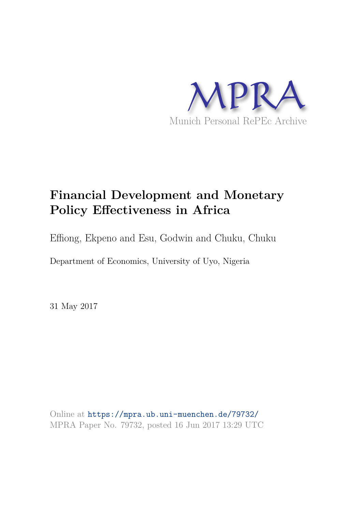

# **Financial Development and Monetary Policy Effectiveness in Africa**

Effiong, Ekpeno and Esu, Godwin and Chuku, Chuku

Department of Economics, University of Uyo, Nigeria

31 May 2017

Online at https://mpra.ub.uni-muenchen.de/79732/ MPRA Paper No. 79732, posted 16 Jun 2017 13:29 UTC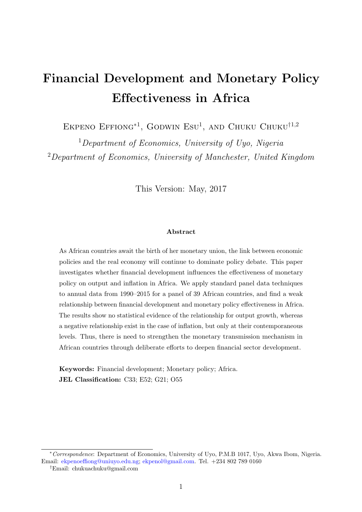# Financial Development and Monetary Policy Effectiveness in Africa

EKPENO EFFIONG<sup>\*1</sup>, GODWIN ESU<sup>1</sup>, AND CHUKU CHUKU<sup>†1,2</sup>

 $1$  Department of Economics, University of Uyo, Nigeria <sup>2</sup>Department of Economics, University of Manchester, United Kingdom

This Version: May, 2017

#### Abstract

As African countries await the birth of her monetary union, the link between economic policies and the real economy will continue to dominate policy debate. This paper investigates whether financial development influences the effectiveness of monetary policy on output and inflation in Africa. We apply standard panel data techniques to annual data from 1990–2015 for a panel of 39 African countries, and find a weak relationship between financial development and monetary policy effectiveness in Africa. The results show no statistical evidence of the relationship for output growth, whereas a negative relationship exist in the case of inflation, but only at their contemporaneous levels. Thus, there is need to strengthen the monetary transmission mechanism in African countries through deliberate efforts to deepen financial sector development.

Keywords: Financial development; Monetary policy; Africa. JEL Classification: C33; E52; G21; O55

<sup>∗</sup>Correspondence: Department of Economics, University of Uyo, P.M.B 1017, Uyo, Akwa Ibom, Nigeria. Email: ekpenoeffiong@uniuyo.edu.ng; ekpenol@gmail.com. Tel. +234 802 789 0160

<sup>†</sup>Email: chukuachuku@gmail.com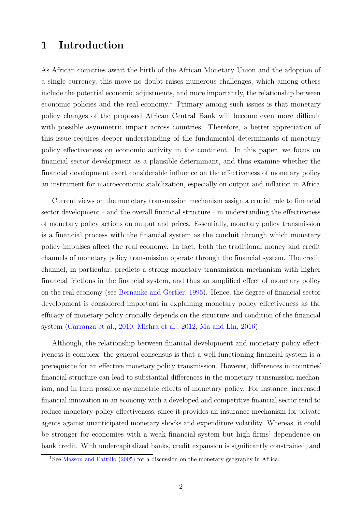### 1 Introduction

As African countries await the birth of the African Monetary Union and the adoption of a single currency, this move no doubt raises numerous challenges, which among others include the potential economic adjustments, and more importantly, the relationship between economic policies and the real economy.<sup>1</sup> Primary among such issues is that monetary policy changes of the proposed African Central Bank will become even more difficult with possible asymmetric impact across countries. Therefore, a better appreciation of this issue requires deeper understanding of the fundamental determinants of monetary policy effectiveness on economic activity in the continent. In this paper, we focus on financial sector development as a plausible determinant, and thus examine whether the financial development exert considerable influence on the effectiveness of monetary policy an instrument for macroeconomic stabilization, especially on output and inflation in Africa.

Current views on the monetary transmission mechanism assign a crucial role to financial sector development - and the overall financial structure - in understanding the effectiveness of monetary policy actions on output and prices. Essentially, monetary policy transmission is a financial process with the financial system as the conduit through which monetary policy impulses affect the real economy. In fact, both the traditional money and credit channels of monetary policy transmission operate through the financial system. The credit channel, in particular, predicts a strong monetary transmission mechanism with higher financial frictions in the financial system, and thus an amplified effect of monetary policy on the real economy (see Bernanke and Gertler, 1995). Hence, the degree of financial sector development is considered important in explaining monetary policy effectiveness as the efficacy of monetary policy crucially depends on the structure and condition of the financial system (Carranza et al., 2010; Mishra et al., 2012; Ma and Lin, 2016).

Although, the relationship between financial development and monetary policy effectiveness is complex, the general consensus is that a well-functioning financial system is a prerequisite for an effective monetary policy transmission. However, differences in countries' financial structure can lead to substantial differences in the monetary transmission mechanism, and in turn possible asymmetric effects of monetary policy. For instance, increased financial innovation in an economy with a developed and competitive financial sector tend to reduce monetary policy effectiveness, since it provides an insurance mechanism for private agents against unanticipated monetary shocks and expenditure volatility. Whereas, it could be stronger for economies with a weak financial system but high firms' dependence on bank credit. With undercapitalized banks, credit expansion is significantly constrained, and

<sup>&</sup>lt;sup>1</sup>See Masson and Pattillo (2005) for a discussion on the monetary geography in Africa.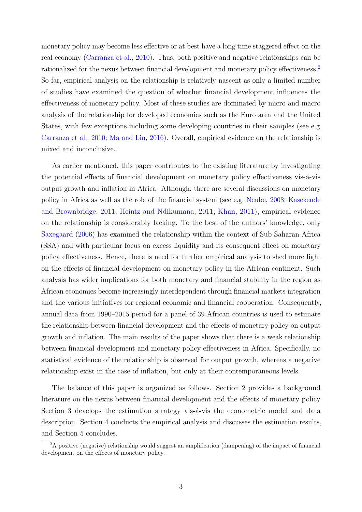monetary policy may become less effective or at best have a long time staggered effect on the real economy (Carranza et al., 2010). Thus, both positive and negative relationships can be rationalized for the nexus between financial development and monetary policy effectiveness.<sup>2</sup> So far, empirical analysis on the relationship is relatively nascent as only a limited number of studies have examined the question of whether financial development influences the effectiveness of monetary policy. Most of these studies are dominated by micro and macro analysis of the relationship for developed economies such as the Euro area and the United States, with few exceptions including some developing countries in their samples (see e.g. Carranza et al., 2010; Ma and Lin, 2016). Overall, empirical evidence on the relationship is mixed and inconclusive.

As earlier mentioned, this paper contributes to the existing literature by investigating the potential effects of financial development on monetary policy effectiveness vis- $\acute{a}$ -vis output growth and inflation in Africa. Although, there are several discussions on monetary policy in Africa as well as the role of the financial system (see e.g. Ncube, 2008; Kasekende and Brownbridge, 2011; Heintz and Ndikumana, 2011; Khan, 2011), empirical evidence on the relationship is considerably lacking. To the best of the authors' knowledge, only Saxegaard (2006) has examined the relationship within the context of Sub-Saharan Africa (SSA) and with particular focus on excess liquidity and its consequent effect on monetary policy effectiveness. Hence, there is need for further empirical analysis to shed more light on the effects of financial development on monetary policy in the African continent. Such analysis has wider implications for both monetary and financial stability in the region as African economies become increasingly interdependent through financial markets integration and the various initiatives for regional economic and financial cooperation. Consequently, annual data from 1990–2015 period for a panel of 39 African countries is used to estimate the relationship between financial development and the effects of monetary policy on output growth and inflation. The main results of the paper shows that there is a weak relationship between financial development and monetary policy effectiveness in Africa. Specifically, no statistical evidence of the relationship is observed for output growth, whereas a negative relationship exist in the case of inflation, but only at their contemporaneous levels.

The balance of this paper is organized as follows. Section 2 provides a background literature on the nexus between financial development and the effects of monetary policy. Section 3 develops the estimation strategy vis- $\acute{a}$ -vis the econometric model and data description. Section 4 conducts the empirical analysis and discusses the estimation results, and Section 5 concludes.

<sup>2</sup>A positive (negative) relationship would suggest an amplification (dampening) of the impact of financial development on the effects of monetary policy.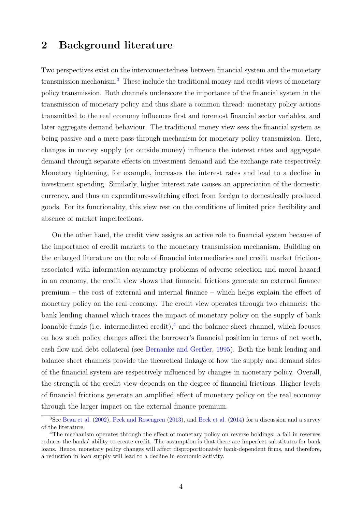### 2 Background literature

Two perspectives exist on the interconnectedness between financial system and the monetary transmission mechanism.<sup>3</sup> These include the traditional money and credit views of monetary policy transmission. Both channels underscore the importance of the financial system in the transmission of monetary policy and thus share a common thread: monetary policy actions transmitted to the real economy influences first and foremost financial sector variables, and later aggregate demand behaviour. The traditional money view sees the financial system as being passive and a mere pass-through mechanism for monetary policy transmission. Here, changes in money supply (or outside money) influence the interest rates and aggregate demand through separate effects on investment demand and the exchange rate respectively. Monetary tightening, for example, increases the interest rates and lead to a decline in investment spending. Similarly, higher interest rate causes an appreciation of the domestic currency, and thus an expenditure-switching effect from foreign to domestically produced goods. For its functionality, this view rest on the conditions of limited price flexibility and absence of market imperfections.

On the other hand, the credit view assigns an active role to financial system because of the importance of credit markets to the monetary transmission mechanism. Building on the enlarged literature on the role of financial intermediaries and credit market frictions associated with information asymmetry problems of adverse selection and moral hazard in an economy, the credit view shows that financial frictions generate an external finance premium – the cost of external and internal finance – which helps explain the effect of monetary policy on the real economy. The credit view operates through two channels: the bank lending channel which traces the impact of monetary policy on the supply of bank loanable funds (i.e. intermediated credit), $\frac{4}{3}$  and the balance sheet channel, which focuses on how such policy changes affect the borrower's financial position in terms of net worth, cash flow and debt collateral (see Bernanke and Gertler, 1995). Both the bank lending and balance sheet channels provide the theoretical linkage of how the supply and demand sides of the financial system are respectively influenced by changes in monetary policy. Overall, the strength of the credit view depends on the degree of financial frictions. Higher levels of financial frictions generate an amplified effect of monetary policy on the real economy through the larger impact on the external finance premium.

<sup>3</sup>See Bean et al. (2002), Peek and Rosengren (2013), and Beck et al. (2014) for a discussion and a survey of the literature.

<sup>4</sup>The mechanism operates through the effect of monetary policy on reverse holdings: a fall in reserves reduces the banks' ability to create credit. The assumption is that there are imperfect substitutes for bank loans. Hence, monetary policy changes will affect disproportionately bank-dependent firms, and therefore, a reduction in loan supply will lead to a decline in economic activity.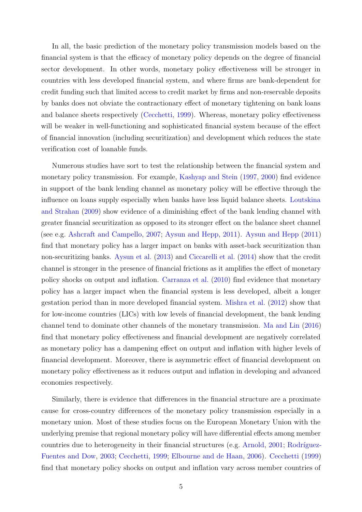In all, the basic prediction of the monetary policy transmission models based on the financial system is that the efficacy of monetary policy depends on the degree of financial sector development. In other words, monetary policy effectiveness will be stronger in countries with less developed financial system, and where firms are bank-dependent for credit funding such that limited access to credit market by firms and non-reservable deposits by banks does not obviate the contractionary effect of monetary tightening on bank loans and balance sheets respectively (Cecchetti, 1999). Whereas, monetary policy effectiveness will be weaker in well-functioning and sophisticated financial system because of the effect of financial innovation (including securitization) and development which reduces the state verification cost of loanable funds.

Numerous studies have sort to test the relationship between the financial system and monetary policy transmission. For example, Kashyap and Stein (1997, 2000) find evidence in support of the bank lending channel as monetary policy will be effective through the influence on loans supply especially when banks have less liquid balance sheets. Loutskina and Strahan (2009) show evidence of a diminishing effect of the bank lending channel with greater financial securitization as opposed to its stronger effect on the balance sheet channel (see e.g. Ashcraft and Campello, 2007; Aysun and Hepp, 2011). Aysun and Hepp (2011) find that monetary policy has a larger impact on banks with asset-back securitization than non-securitizing banks. Aysun et al. (2013) and Ciccarelli et al. (2014) show that the credit channel is stronger in the presence of financial frictions as it amplifies the effect of monetary policy shocks on output and inflation. Carranza et al. (2010) find evidence that monetary policy has a larger impact when the financial system is less developed, albeit a longer gestation period than in more developed financial system. Mishra et al. (2012) show that for low-income countries (LICs) with low levels of financial development, the bank lending channel tend to dominate other channels of the monetary transmission. Ma and Lin (2016) find that monetary policy effectiveness and financial development are negatively correlated as monetary policy has a dampening effect on output and inflation with higher levels of financial development. Moreover, there is asymmetric effect of financial development on monetary policy effectiveness as it reduces output and inflation in developing and advanced economies respectively.

Similarly, there is evidence that differences in the financial structure are a proximate cause for cross-country differences of the monetary policy transmission especially in a monetary union. Most of these studies focus on the European Monetary Union with the underlying premise that regional monetary policy will have differential effects among member countries due to heterogeneity in their financial structures (e.g. Arnold, 2001; Rodríguez-Fuentes and Dow, 2003; Cecchetti, 1999; Elbourne and de Haan, 2006). Cecchetti (1999) find that monetary policy shocks on output and inflation vary across member countries of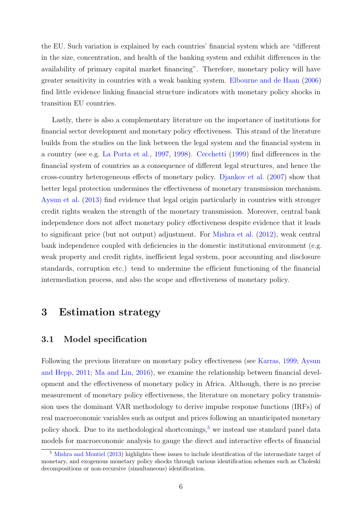the EU. Such variation is explained by each countries' financial system which are "different in the size, concentration, and health of the banking system and exhibit differences in the availability of primary capital market financing". Therefore, monetary policy will have greater sensitivity in countries with a weak banking system. Elbourne and de Haan (2006) find little evidence linking financial structure indicators with monetary policy shocks in transition EU countries.

Lastly, there is also a complementary literature on the importance of institutions for financial sector development and monetary policy effectiveness. This strand of the literature builds from the studies on the link between the legal system and the financial system in a country (see e.g. La Porta et al., 1997, 1998). Cecchetti (1999) find differences in the financial system of countries as a consequence of different legal structures, and hence the cross-country heterogeneous effects of monetary policy. Djankov et al. (2007) show that better legal protection undermines the effectiveness of monetary transmission mechanism. Aysun et al. (2013) find evidence that legal origin particularly in countries with stronger credit rights weaken the strength of the monetary transmission. Moreover, central bank independence does not affect monetary policy effectiveness despite evidence that it leads to significant price (but not output) adjustment. For Mishra et al. (2012), weak central bank independence coupled with deficiencies in the domestic institutional environment (e.g. weak property and credit rights, inefficient legal system, poor accounting and disclosure standards, corruption etc.) tend to undermine the efficient functioning of the financial intermediation process, and also the scope and effectiveness of monetary policy.

## 3 Estimation strategy

### 3.1 Model specification

Following the previous literature on monetary policy effectiveness (see Karras, 1999; Aysun and Hepp, 2011; Ma and Lin, 2016), we examine the relationship between financial development and the effectiveness of monetary policy in Africa. Although, there is no precise measurement of monetary policy effectiveness, the literature on monetary policy transmission uses the dominant VAR methodology to derive impulse response functions (IRFs) of real macroeconomic variables such as output and prices following an unanticipated monetary policy shock. Due to its methodological shortcomings,  $5$  we instead use standard panel data models for macroeconomic analysis to gauge the direct and interactive effects of financial

<sup>5</sup> Mishra and Montiel (2013) highlights these issues to include identification of the intermediate target of monetary, and exogenous monetary policy shocks through various identification schemes such as Choleski decompositions or non-recursive (simultaneous) identification.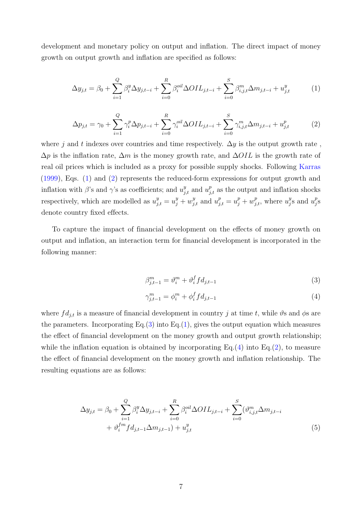development and monetary policy on output and inflation. The direct impact of money growth on output growth and inflation are specified as follows:

$$
\Delta y_{j,t} = \beta_0 + \sum_{i=1}^{Q} \beta_i^y \Delta y_{j,t-i} + \sum_{i=0}^{R} \beta_i^{oil} \Delta OIL_{j,t-i} + \sum_{i=0}^{S} \beta_{i,j,t}^m \Delta m_{j,t-i} + u_{j,t}^y
$$
(1)

$$
\Delta p_{j,t} = \gamma_0 + \sum_{i=1}^{Q} \gamma_i^p \Delta p_{j,t-i} + \sum_{i=0}^{R} \gamma_i^{oil} \Delta OIL_{j,t-i} + \sum_{i=0}^{S} \gamma_{i,j,t}^m \Delta m_{j,t-i} + u_{j,t}^p \tag{2}
$$

where j and t indexes over countries and time respectively.  $\Delta y$  is the output growth rate,  $\Delta p$  is the inflation rate,  $\Delta m$  is the money growth rate, and  $\Delta OIL$  is the growth rate of real oil prices which is included as a proxy for possible supply shocks. Following Karras (1999), Eqs. (1) and (2) represents the reduced-form expressions for output growth and inflation with  $\beta$ 's and  $\gamma$ 's as coefficients; and  $u_{j,t}^y$  and  $u_{j,t}^p$  as the output and inflation shocks respectively, which are modelled as  $u_{j,t}^y = u_j^y + w_{j,t}^y$  and  $u_{j,t}^p = u_j^p + w_{j,t}^p$ , where  $u_j^y$  $y_j^y$ s and  $u_j^p$  $\frac{p}{j}$ S denote country fixed effects.

To capture the impact of financial development on the effects of money growth on output and inflation, an interaction term for financial development is incorporated in the following manner:

$$
\beta_{j,t-1}^m = \vartheta_i^m + \vartheta_i^f f d_{j,t-1} \tag{3}
$$

$$
\gamma_{j,t-1}^m = \phi_i^m + \phi_i^f f d_{j,t-1} \tag{4}
$$

where  $fd_{j,t}$  is a measure of financial development in country j at time t, while  $\vartheta$ s and  $\phi$ s are the parameters. Incorporating Eq.(3) into Eq.(1), gives the output equation which measures the effect of financial development on the money growth and output growth relationship; while the inflation equation is obtained by incorporating  $Eq.(4)$  into  $Eq.(2)$ , to measure the effect of financial development on the money growth and inflation relationship. The resulting equations are as follows:

$$
\Delta y_{j,t} = \beta_0 + \sum_{i=1}^{Q} \beta_i^y \Delta y_{j,t-i} + \sum_{i=0}^{R} \beta_i^{oil} \Delta OIL_{j,t-i} + \sum_{i=0}^{S} (\vartheta_{i,j,t}^m \Delta m_{j,t-i} + \vartheta_i^{fm} f d_{j,t-1} \Delta m_{j,t-1}) + u_{j,t}^y
$$
\n(5)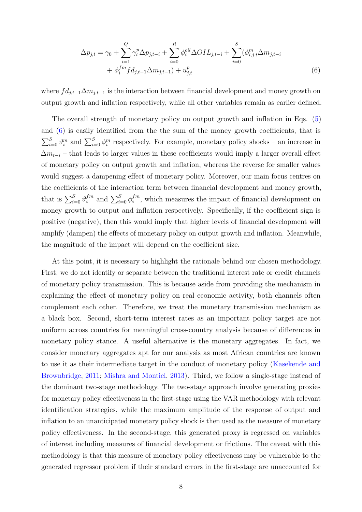$$
\Delta p_{j,t} = \gamma_0 + \sum_{i=1}^{Q} \gamma_i^p \Delta p_{j,t-i} + \sum_{i=0}^{R} \phi_i^{oil} \Delta OIL_{j,t-i} + \sum_{i=0}^{S} (\phi_{i,j,t}^m \Delta m_{j,t-i} + \phi_i^{fm} f d_{j,t-1} \Delta m_{j,t-1}) + u_{j,t}^p
$$
\n(6)

where  $fd_{j,t-1}\Delta m_{j,t-1}$  is the interaction between financial development and money growth on output growth and inflation respectively, while all other variables remain as earlier defined.

The overall strength of monetary policy on output growth and inflation in Eqs. (5) and (6) is easily identified from the the sum of the money growth coefficients, that is  $\sum_{i=0}^{S} \vartheta_i^m$  and  $\sum_{i=0}^{S} \varphi_i^m$  respectively. For example, monetary policy shocks – an increase in  $\Delta m_{t-i}$  – that leads to larger values in these coefficients would imply a larger overall effect of monetary policy on output growth and inflation, whereas the reverse for smaller values would suggest a dampening effect of monetary policy. Moreover, our main focus centres on the coefficients of the interaction term between financial development and money growth, that is  $\sum_{i=0}^{S} \vartheta_i^{fm}$  $\int_i^m$  and  $\sum_{i=0}^S \phi_i^{fm}$  $i^m$ , which measures the impact of financial development on money growth to output and inflation respectively. Specifically, if the coefficient sign is positive (negative), then this would imply that higher levels of financial development will amplify (dampen) the effects of monetary policy on output growth and inflation. Meanwhile, the magnitude of the impact will depend on the coefficient size.

At this point, it is necessary to highlight the rationale behind our chosen methodology. First, we do not identify or separate between the traditional interest rate or credit channels of monetary policy transmission. This is because aside from providing the mechanism in explaining the effect of monetary policy on real economic activity, both channels often complement each other. Therefore, we treat the monetary transmission mechanism as a black box. Second, short-term interest rates as an important policy target are not uniform across countries for meaningful cross-country analysis because of differences in monetary policy stance. A useful alternative is the monetary aggregates. In fact, we consider monetary aggregates apt for our analysis as most African countries are known to use it as their intermediate target in the conduct of monetary policy (Kasekende and Brownbridge, 2011; Mishra and Montiel, 2013). Third, we follow a single-stage instead of the dominant two-stage methodology. The two-stage approach involve generating proxies for monetary policy effectiveness in the first-stage using the VAR methodology with relevant identification strategies, while the maximum amplitude of the response of output and inflation to an unanticipated monetary policy shock is then used as the measure of monetary policy effectiveness. In the second-stage, this generated proxy is regressed on variables of interest including measures of financial development or frictions. The caveat with this methodology is that this measure of monetary policy effectiveness may be vulnerable to the generated regressor problem if their standard errors in the first-stage are unaccounted for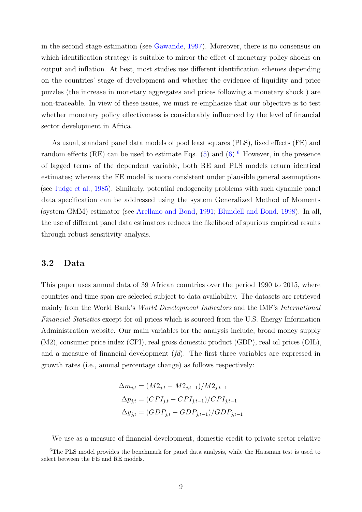in the second stage estimation (see Gawande, 1997). Moreover, there is no consensus on which identification strategy is suitable to mirror the effect of monetary policy shocks on output and inflation. At best, most studies use different identification schemes depending on the countries' stage of development and whether the evidence of liquidity and price puzzles (the increase in monetary aggregates and prices following a monetary shock ) are non-traceable. In view of these issues, we must re-emphasize that our objective is to test whether monetary policy effectiveness is considerably influenced by the level of financial sector development in Africa.

As usual, standard panel data models of pool least squares (PLS), fixed effects (FE) and random effects (RE) can be used to estimate Eqs.  $(5)$  and  $(6)$ .<sup>6</sup> However, in the presence of lagged terms of the dependent variable, both RE and PLS models return identical estimates; whereas the FE model is more consistent under plausible general assumptions (see Judge et al., 1985). Similarly, potential endogeneity problems with such dynamic panel data specification can be addressed using the system Generalized Method of Moments (system-GMM) estimator (see Arellano and Bond, 1991; Blundell and Bond, 1998). In all, the use of different panel data estimators reduces the likelihood of spurious empirical results through robust sensitivity analysis.

#### 3.2 Data

This paper uses annual data of 39 African countries over the period 1990 to 2015, where countries and time span are selected subject to data availability. The datasets are retrieved mainly from the World Bank's World Development Indicators and the IMF's International Financial Statistics except for oil prices which is sourced from the U.S. Energy Information Administration website. Our main variables for the analysis include, broad money supply (M2), consumer price index (CPI), real gross domestic product (GDP), real oil prices (OIL), and a measure of financial development  $(fd)$ . The first three variables are expressed in growth rates (i.e., annual percentage change) as follows respectively:

$$
\Delta m_{j,t} = (M2_{j,t} - M2_{j,t-1})/M2_{j,t-1}
$$
  
\n
$$
\Delta p_{j,t} = (CPI_{j,t} - CPI_{j,t-1})/CPI_{j,t-1}
$$
  
\n
$$
\Delta y_{j,t} = (GDP_{j,t} - GDP_{j,t-1})/GDP_{j,t-1}
$$

We use as a measure of financial development, domestic credit to private sector relative

<sup>&</sup>lt;sup>6</sup>The PLS model provides the benchmark for panel data analysis, while the Hausman test is used to select between the FE and RE models.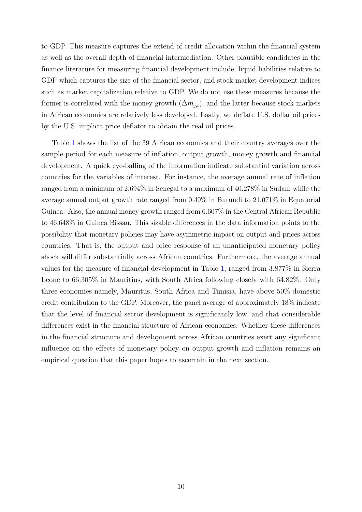to GDP. This measure captures the extend of credit allocation within the financial system as well as the overall depth of financial intermediation. Other plausible candidates in the finance literature for measuring financial development include, liquid liabilities relative to GDP which captures the size of the financial sector, and stock market development indices such as market capitalization relative to GDP. We do not use these measures because the former is correlated with the money growth  $(\Delta m_{it})$ , and the latter because stock markets in African economies are relatively less developed. Lastly, we deflate U.S. dollar oil prices by the U.S. implicit price deflator to obtain the real oil prices.

Table 1 shows the list of the 39 African economies and their country averages over the sample period for each measure of inflation, output growth, money growth and financial development. A quick eye-balling of the information indicate substantial variation across countries for the variables of interest. For instance, the average annual rate of inflation ranged from a minimum of 2.694% in Senegal to a maximum of 40.278% in Sudan; while the average annual output growth rate ranged from 0.49% in Burundi to 21.071% in Equatorial Guinea. Also, the annual money growth ranged from 6.607% in the Central African Republic to 46.648% in Guinea Bissau. This sizable differences in the data information points to the possibility that monetary policies may have asymmetric impact on output and prices across countries. That is, the output and price response of an unanticipated monetary policy shock will differ substantially across African countries. Furthermore, the average annual values for the measure of financial development in Table 1, ranged from 3.877% in Sierra Leone to 66.305% in Mauritius, with South Africa following closely with 64.82%. Only three economies namely, Mauritus, South Africa and Tunisia, have above 50% domestic credit contribution to the GDP. Moreover, the panel average of approximately 18% indicate that the level of financial sector development is significantly low, and that considerable differences exist in the financial structure of African economies. Whether these differences in the financial structure and development across African countries exert any significant influence on the effects of monetary policy on output growth and inflation remains an empirical question that this paper hopes to ascertain in the next section.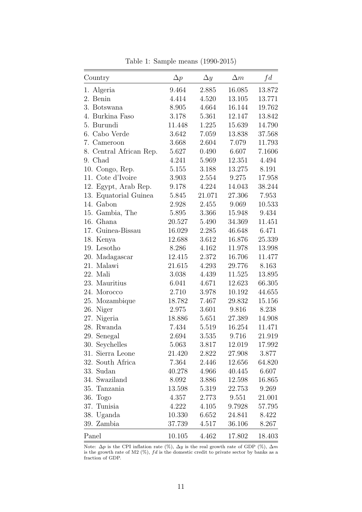| Country                 | $\Delta p$ | $\Delta y$ | $\Delta m$ | fd     |
|-------------------------|------------|------------|------------|--------|
| 1. Algeria              | 9.464      | 2.885      | 16.085     | 13.872 |
| 2. Benin                | 4.414      | 4.520      | 13.105     | 13.771 |
| 3. Botswana             | 8.905      | 4.664      | 16.144     | 19.762 |
| 4. Burkina Faso         | 3.178      | 5.361      | 12.147     | 13.842 |
| 5. Burundi              | 11.448     | 1.225      | 15.639     | 14.790 |
| 6. Cabo Verde           | 3.642      | 7.059      | 13.838     | 37.568 |
| 7. Cameroon             | 3.668      | 2.604      | 7.079      | 11.793 |
| 8. Central African Rep. | 5.627      | 0.490      | 6.607      | 7.1606 |
| 9. Chad                 | 4.241      | 5.969      | 12.351     | 4.494  |
| 10. Congo, Rep.         | 5.155      | 3.188      | 13.275     | 8.191  |
| 11. Cote d'Ivoire       | 3.903      | 2.554      | 9.275      | 17.958 |
| 12. Egypt, Arab Rep.    | 9.178      | 4.224      | 14.043     | 38.244 |
| 13. Equatorial Guinea   | 5.845      | 21.071     | 27.306     | 7.953  |
| 14. Gabon               | 2.928      | 2.455      | 9.069      | 10.533 |
| 15. Gambia, The         | 5.895      | 3.366      | 15.948     | 9.434  |
| 16. Ghana               | 20.527     | 5.490      | 34.369     | 11.451 |
| 17. Guinea-Bissau       | 16.029     | 2.285      | 46.648     | 6.471  |
| 18. Kenya               | 12.688     | 3.612      | 16.876     | 25.339 |
| 19. Lesotho             | 8.286      | 4.162      | 11.978     | 13.998 |
| 20. Madagascar          | 12.415     | 2.372      | 16.706     | 11.477 |
| Malawi<br>21.           | 21.615     | 4.293      | 29.776     | 8.163  |
| 22. Mali                | 3.038      | 4.439      | 11.525     | 13.895 |
| 23. Mauritius           | 6.041      | 4.671      | 12.623     | 66.305 |
| 24. Morocco             | 2.710      | 3.978      | 10.192     | 44.655 |
| 25. Mozambique          | 18.782     | 7.467      | 29.832     | 15.156 |
| 26.<br>Niger            | 2.975      | 3.601      | 9.816      | 8.238  |
| Nigeria<br>27.          | 18.886     | 5.651      | 27.389     | 14.908 |
| 28. Rwanda              | 7.434      | 5.519      | 16.254     | 11.471 |
| 29. Senegal             | 2.694      | 3.535      | 9.716      | 21.919 |
| 30. Seychelles          | 5.063      | 3.817      | 12.019     | 17.992 |
| 31. Sierra Leone        | 21.420     | 2.822      | 27.908     | 3.877  |
| 32. South Africa        | 7.364      | 2.446      | 12.656     | 64.820 |
| 33. Sudan               | 40.278     | 4.966      | 40.445     | 6.607  |
| 34. Swaziland           | 8.092      | 3.886      | 12.598     | 16.865 |
| Tanzania<br>35.         | 13.598     | 5.319      | 22.753     | 9.269  |
| Togo<br>36.             | 4.357      | 2.773      | 9.551      | 21.001 |
| Tunisia<br>37.          | 4.222      | 4.105      | 9.7928     | 57.795 |
| 38. Uganda              | 10.330     | 6.652      | 24.841     | 8.422  |
| 39. Zambia              | 37.739     | 4.517      | 36.106     | 8.267  |
| Panel                   | 10.105     | 4.462      | 17.802     | 18.403 |

Table 1: Sample means (1990-2015)

Note:  $\Delta p$  is the CPI inflation rate (%),  $\Delta y$  is the real growth rate of GDP (%),  $\Delta m$ is the growth rate of M2  $(\%)$ ,  $fd$  is the domestic credit to private sector by banks as a fraction of GDP.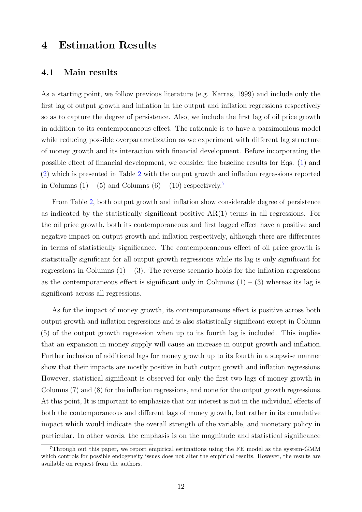# 4 Estimation Results

#### 4.1 Main results

As a starting point, we follow previous literature (e.g. Karras, 1999) and include only the first lag of output growth and inflation in the output and inflation regressions respectively so as to capture the degree of persistence. Also, we include the first lag of oil price growth in addition to its contemporaneous effect. The rationale is to have a parsimonious model while reducing possible overparametization as we experiment with different lag structure of money growth and its interaction with financial development. Before incorporating the possible effect of financial development, we consider the baseline results for Eqs. (1) and (2) which is presented in Table 2 with the output growth and inflation regressions reported in Columns  $(1) - (5)$  and Columns  $(6) - (10)$  respectively.<sup>7</sup>

From Table 2, both output growth and inflation show considerable degree of persistence as indicated by the statistically significant positive  $AR(1)$  terms in all regressions. For the oil price growth, both its contemporaneous and first lagged effect have a positive and negative impact on output growth and inflation respectively, although there are differences in terms of statistically significance. The contemporaneous effect of oil price growth is statistically significant for all output growth regressions while its lag is only significant for regressions in Columns  $(1) - (3)$ . The reverse scenario holds for the inflation regressions as the contemporaneous effect is significant only in Columns  $(1) - (3)$  whereas its lag is significant across all regressions.

As for the impact of money growth, its contemporaneous effect is positive across both output growth and inflation regressions and is also statistically significant except in Column (5) of the output growth regression when up to its fourth lag is included. This implies that an expansion in money supply will cause an increase in output growth and inflation. Further inclusion of additional lags for money growth up to its fourth in a stepwise manner show that their impacts are mostly positive in both output growth and inflation regressions. However, statistical significant is observed for only the first two lags of money growth in Columns (7) and (8) for the inflation regressions, and none for the output growth regressions. At this point, It is important to emphasize that our interest is not in the individual effects of both the contemporaneous and different lags of money growth, but rather in its cumulative impact which would indicate the overall strength of the variable, and monetary policy in particular. In other words, the emphasis is on the magnitude and statistical significance

<sup>7</sup>Through out this paper, we report empirical estimations using the FE model as the system-GMM which controls for possible endogeneity issues does not alter the empirical results. However, the results are available on request from the authors.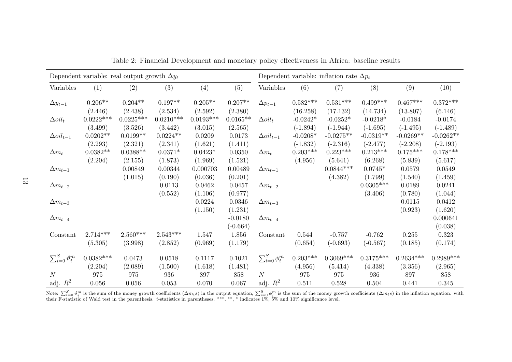| Dependent variable: real output growth $\Delta y_t$ |             |                  |             |             |            |                           | Dependent variable: inflation rate $\Delta p_t$ |             |             |             |             |
|-----------------------------------------------------|-------------|------------------|-------------|-------------|------------|---------------------------|-------------------------------------------------|-------------|-------------|-------------|-------------|
| Variables                                           | (1)         | (2)              | (3)         | (4)         | (5)        | Variables                 | (6)                                             | (7)         | (8)         | (9)         | (10)        |
| $\Delta y_{t-1}$                                    | $0.206**$   | $0.204**$        | $0.197**$   | $0.205**$   | $0.207**$  | $\Delta p_{t-1}$          | $0.582^{***}\,$                                 | $0.531***$  | $0.499***$  | $0.467***$  | $0.372***$  |
|                                                     | (2.446)     | (2.438)          | (2.534)     | (2.592)     | (2.380)    |                           | (16.258)                                        | (17.132)    | (14.734)    | (13.807)    | (6.146)     |
| $\Delta oil_t$                                      | $0.0222***$ | $0.0225^{***}\,$ | $0.0210***$ | $0.0193***$ | $0.0165**$ | $\Delta oil_t$            | $-0.0242*$                                      | $-0.0252*$  | $-0.0218*$  | $-0.0184$   | $-0.0174$   |
|                                                     | (3.499)     | (3.526)          | (3.442)     | (3.015)     | (2.565)    |                           | $(-1.894)$                                      | $(-1.944)$  | $(-1.695)$  | $(-1.495)$  | $(-1.489)$  |
| $\Delta oil_{t-1}$                                  | $0.0202**$  | $0.0199**$       | $0.0224**$  | 0.0209      | 0.0173     | $\Delta oil_{t-1}$        | $-0.0208*$                                      | $-0.0275**$ | $-0.0319**$ | $-0.0269**$ | $-0.0262**$ |
|                                                     | (2.293)     | (2.321)          | (2.341)     | (1.621)     | (1.411)    |                           | $(-1.832)$                                      | $(-2.316)$  | $(-2.477)$  | $(-2.208)$  | $(-2.193)$  |
| $\Delta m_t$                                        | $0.0382**$  | $0.0388**$       | $0.0371*$   | $0.0423*$   | 0.0350     | $\Delta m_t$              | $0.203***$                                      | $0.223***$  | $0.213***$  | $0.175***$  | $0.178***$  |
|                                                     | (2.204)     | (2.155)          | (1.873)     | (1.969)     | (1.521)    |                           | (4.956)                                         | (5.641)     | (6.268)     | (5.839)     | (5.617)     |
| $\Delta m_{t-1}$                                    |             | 0.00849          | 0.00344     | 0.000703    | 0.00489    | $\Delta m_{t-1}$          |                                                 | $0.0844***$ | $0.0745*$   | 0.0579      | 0.0549      |
|                                                     |             | (1.015)          | (0.190)     | (0.036)     | (0.201)    |                           |                                                 | (4.382)     | (1.799)     | (1.540)     | (1.459)     |
| $\Delta m_{t-2}$                                    |             |                  | 0.0113      | 0.0462      | 0.0457     | $\Delta m_{t-2}$          |                                                 |             | $0.0305***$ | 0.0189      | 0.0241      |
|                                                     |             |                  | (0.552)     | (1.106)     | (0.977)    |                           |                                                 |             | (3.406)     | (0.780)     | (1.044)     |
| $\Delta m_{t-3}$                                    |             |                  |             | 0.0224      | 0.0346     | $\Delta m_{t-3}$          |                                                 |             |             | 0.0115      | 0.0412      |
|                                                     |             |                  |             | (1.150)     | (1.231)    |                           |                                                 |             |             | (0.923)     | (1.620)     |
| $\Delta m_{t-4}$                                    |             |                  |             |             | $-0.0180$  | $\Delta m_{t-4}$          |                                                 |             |             |             | 0.000641    |
|                                                     |             |                  |             |             | $(-0.664)$ |                           |                                                 |             |             |             | (0.038)     |
| Constant                                            | $2.714***$  | $2.560***$       | $2.543***$  | 1.547       | 1.856      | Constant                  | 0.544                                           | $-0.757$    | $-0.762$    | 0.255       | 0.323       |
|                                                     | (5.305)     | (3.998)          | (2.852)     | (0.969)     | (1.179)    |                           | (0.654)                                         | $(-0.693)$  | $(-0.567)$  | (0.185)     | (0.174)     |
| $\sum_{i=0}^{S} \vartheta_i^m$                      | $0.0382***$ | 0.0473           | 0.0518      | 0.1117      | 0.1021     | $\sum_{i=0}^{S} \phi_i^m$ | $0.203***$                                      | $0.3069***$ | $0.3175***$ | $0.2634***$ | $0.2989***$ |
|                                                     | (2.204)     | (2.089)          | (1.500)     | (1.618)     | (1.481)    |                           | (4.956)                                         | (5.414)     | (4.338)     | (3.356)     | (2.965)     |
| $\cal N$                                            | 975         | 975              | 936         | 897         | 858        | N                         | 975                                             | 975         | 936         | 897         | 858         |
| adj. $R^2$                                          | 0.056       | 0.056            | 0.053       | 0.070       | 0.067      | adj. $R^2$                | 0.511                                           | 0.528       | 0.504       | 0.441       | 0.345       |

Table 2: Financial Development and monetary policy effectiveness in Africa: baseline results

Note:  $\sum_{i=0}^{S} \vartheta$ Note:  $\sum_{i=0}^{S} \vartheta_i^m$  is the sum of the money growth coefficients  $(\Delta m_t s)$  in the output equation,  $\sum_{i=0}^{S} \varphi_i^m$  is the sum of the money growth coefficients  $(\Delta m_t s)$  in the inflation equation. with their F-statist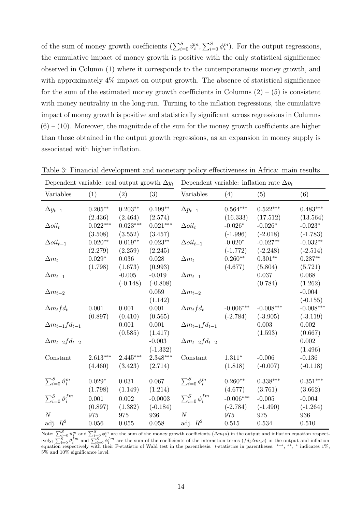of the sum of money growth coefficients  $(\sum_{i=0}^S \vartheta_i^m, \sum_{i=0}^S \phi_i^m)$ . For the output regressions, the cumulative impact of money growth is positive with the only statistical significance observed in Column (1) where it corresponds to the contemporaneous money growth, and with approximately  $4\%$  impact on output growth. The absence of statistical significance for the sum of the estimated money growth coefficients in Columns  $(2) - (5)$  is consistent with money neutrality in the long-run. Turning to the inflation regressions, the cumulative impact of money growth is positive and statistically significant across regressions in Columns  $(6) - (10)$ . Moreover, the magnitude of the sum for the money growth coefficients are higher than those obtained in the output growth regressions, as an expansion in money supply is associated with higher inflation.

| Dependent variable: real output growth $\Delta y_t$ |            |             |            | Dependent variable: inflation rate $\Delta p_t$ |             |                     |                        |  |  |
|-----------------------------------------------------|------------|-------------|------------|-------------------------------------------------|-------------|---------------------|------------------------|--|--|
| Variables                                           | (1)        | (2)         | (3)        | Variables                                       | (4)         | (5)                 | (6)                    |  |  |
| $\Delta y_{t-1}$                                    | $0.205***$ | $0.203**$   | $0.199**$  | $\Delta p_{t-1}$                                | $0.564***$  | $0.522^{***}\,$     | $0.483^{\ast\ast\ast}$ |  |  |
|                                                     | (2.436)    | (2.464)     | (2.574)    |                                                 | (16.333)    | (17.512)            | (13.564)               |  |  |
| $\Delta oil_t$                                      | $0.022***$ | $0.023***$  | $0.021***$ | $\Delta oil_t$                                  | $-0.026*$   | $-0.026*$           | $-0.023*$              |  |  |
|                                                     | (3.508)    | (3.552)     | (3.457)    |                                                 | $(-1.996)$  | $(-2.018)$          | $(-1.783)$             |  |  |
| $\Delta oil_{t-1}$                                  | $0.020**$  | $0.019**$   | $0.023**$  | $\Delta oil_{t-1}$                              | $-0.020*$   | $-0.027^{\ast\ast}$ | $-0.032**$             |  |  |
|                                                     | (2.279)    | (2.259)     | (2.245)    |                                                 | $(-1.772)$  | $(-2.248)$          | $(-2.514)$             |  |  |
| $\Delta m_t$                                        | $0.029*$   | $\,0.036\,$ | $0.028\,$  | $\Delta m_t$                                    | $0.260**$   | $0.301^{\ast\ast}$  | $0.287^{\ast\ast}$     |  |  |
|                                                     | (1.798)    | (1.673)     | (0.993)    |                                                 | (4.677)     | (5.804)             | (5.721)                |  |  |
| $\Delta m_{t-1}$                                    |            | $-0.005$    | $-0.019$   | $\Delta m_{t-1}$                                |             | 0.037               | 0.068                  |  |  |
|                                                     |            | $(-0.148)$  | $(-0.808)$ |                                                 |             | (0.784)             | (1.262)                |  |  |
| $\Delta m_{t-2}$                                    |            |             | 0.059      | $\Delta m_{t-2}$                                |             |                     | $-0.004$               |  |  |
|                                                     |            |             | (1.142)    |                                                 |             |                     | $(-0.155)$             |  |  |
| $\Delta m_t f d_t$                                  | 0.001      | 0.001       | 0.001      | $\Delta m_t f d_t$                              | $-0.006***$ | $-0.008***$         | $-0.008***$            |  |  |
|                                                     | (0.897)    | (0.410)     | (0.565)    |                                                 | $(-2.784)$  | $(-3.905)$          | $(-3.119)$             |  |  |
| $\Delta m_{t-1} f d_{t-1}$                          |            | 0.001       | 0.001      | $\Delta m_{t-1} f d_{t-1}$                      |             | 0.003               | $0.002\,$              |  |  |
|                                                     |            | (0.585)     | (1.417)    |                                                 |             | (1.593)             | (0.667)                |  |  |
| $\Delta m_{t-2} f d_{t-2}$                          |            |             | $-0.003$   | $\Delta m_{t-2} f d_{t-2}$                      |             |                     | 0.002                  |  |  |
|                                                     |            |             | $(-1.332)$ |                                                 |             |                     | (1.496)                |  |  |
| Constant                                            | $2.613***$ | $2.445***$  | $2.348***$ | Constant                                        | $1.311*$    | $-0.006$            | $-0.136$               |  |  |
|                                                     | (4.460)    | (3.423)     | (2.714)    |                                                 | (1.818)     | $(-0.007)$          | $(-0.118)$             |  |  |
| $\sum_{i=0}^{S} \vartheta_i^m$                      | $0.029*$   | 0.031       | 0.067      | $\sum_{i=0}^{S} \phi_i^m$                       | $0.260**$   | $0.338***$          | $0.351***$             |  |  |
|                                                     | (1.798)    | (1.149)     | (1.214)    |                                                 | (4.677)     | (3.761)             | (3.662)                |  |  |
| $\sum_{i=0}^{S} \vartheta_{i}^{fm}$                 | 0.001      | 0.002       | $-0.0003$  | $\sum_{i=0}^{S} \phi_i^{fm}$                    | $-0.006***$ | $-0.005$            | $-0.004$               |  |  |
|                                                     | (0.897)    | (1.382)     | $(-0.184)$ |                                                 | $(-2.784)$  | $(-1.490)$          | $(-1.264)$             |  |  |
| N                                                   | 975        | 975         | 936        | N                                               | 975         | 975                 | 936                    |  |  |
| adj. $R^2$                                          | $0.056\,$  | 0.055       | 0.058      | adj. $R^2$                                      | $0.515\,$   | 0.534               | 0.510                  |  |  |

Table 3: Financial development and monetary policy effectiveness in Africa: main results

Note:  $\sum_{i=0}^{S} \vartheta_i^m$  and  $\sum_{i=0}^{S} \varphi_i^m$  are the sum of the money growth coefficients  $(\Delta m_t s)$  in the output and inflation equation respectively;  $\sum_{i=0}^{S} \vartheta_i^{fm}$  and  $\sum_{i=0}^{S} \varphi_i^{fm}$  are the sum of the coefficients of the interaction terms  $(fd_t\Delta m_ts)$  in the output and inflation equation respectively with their F-statistic of Wald test in the parenthesis. t-statistics in parentheses. ∗∗∗, ∗∗, <sup>∗</sup> indicates 1%, 5% and 10% significance level.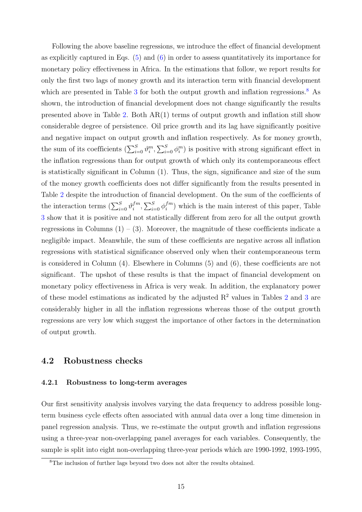Following the above baseline regressions, we introduce the effect of financial development as explicitly captured in Eqs.  $(5)$  and  $(6)$  in order to assess quantitatively its importance for monetary policy effectiveness in Africa. In the estimations that follow, we report results for only the first two lags of money growth and its interaction term with financial development which are presented in Table  $3$  for both the output growth and inflation regressions.<sup>8</sup> As shown, the introduction of financial development does not change significantly the results presented above in Table 2. Both AR(1) terms of output growth and inflation still show considerable degree of persistence. Oil price growth and its lag have significantly positive and negative impact on output growth and inflation respectively. As for money growth, the sum of its coefficients  $(\sum_{i=0}^S \vartheta_i^m, \sum_{i=0}^S \varphi_i^m)$  is positive with strong significant effect in the inflation regressions than for output growth of which only its contemporaneous effect is statistically significant in Column (1). Thus, the sign, significance and size of the sum of the money growth coefficients does not differ significantly from the results presented in Table 2 despite the introduction of financial development. On the sum of the coefficients of the interaction terms  $(\sum_{i=0}^{S} \vartheta_i^{fm})$  $i^{fm}, \sum_{i=0}^{S} \phi_i^{fm}$  $i^{m}$ ) which is the main interest of this paper, Table 3 show that it is positive and not statistically different from zero for all the output growth regressions in Columns  $(1) - (3)$ . Moreover, the magnitude of these coefficients indicate a negligible impact. Meanwhile, the sum of these coefficients are negative across all inflation regressions with statistical significance observed only when their contemporaneous term is considered in Column (4). Elsewhere in Columns (5) and (6), these coefficients are not significant. The upshot of these results is that the impact of financial development on monetary policy effectiveness in Africa is very weak. In addition, the explanatory power of these model estimations as indicated by the adjusted  $R^2$  values in Tables 2 and 3 are considerably higher in all the inflation regressions whereas those of the output growth regressions are very low which suggest the importance of other factors in the determination of output growth.

### 4.2 Robustness checks

#### 4.2.1 Robustness to long-term averages

Our first sensitivity analysis involves varying the data frequency to address possible longterm business cycle effects often associated with annual data over a long time dimension in panel regression analysis. Thus, we re-estimate the output growth and inflation regressions using a three-year non-overlapping panel averages for each variables. Consequently, the sample is split into eight non-overlapping three-year periods which are 1990-1992, 1993-1995,

<sup>8</sup>The inclusion of further lags beyond two does not alter the results obtained.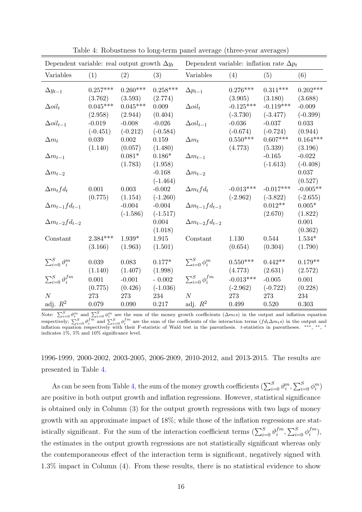| Dependent variable: real output growth $\Delta y_t$ |                       |                       |                       | Dependent variable: inflation rate $\Delta p_t$ |                       |                       |                       |  |  |
|-----------------------------------------------------|-----------------------|-----------------------|-----------------------|-------------------------------------------------|-----------------------|-----------------------|-----------------------|--|--|
| Variables                                           | (1)                   | (2)                   | (3)                   | Variables                                       | (4)                   | (5)                   | (6)                   |  |  |
| $\Delta y_{t-1}$                                    | $0.257***$<br>(3.762) | $0.260***$<br>(3.593) | $0.258***$<br>(2.774) | $\Delta p_{t-1}$                                | $0.276***$<br>(3.905) | $0.311***$<br>(3.180) | $0.202***$<br>(3.688) |  |  |
| $\Delta oil_t$                                      | $0.045***$            | $0.045***$            | 0.009                 | $\Delta oil_t$                                  | $-0.125***$           | $-0.119***$           | $-0.009$              |  |  |
|                                                     | (2.958)               | (2.944)               | (0.404)               |                                                 | $(-3.730)$            | $(-3.477)$            | $(-0.399)$            |  |  |
| $\Delta oil_{t-1}$                                  | $-0.019$              | $-0.008$              | $-0.026$              | $\Delta oil_{t-1}$                              | $-0.036$              | $-0.037$              | 0.033                 |  |  |
|                                                     | $(-0.451)$            | $(-0.212)$            | $(-0.584)$            |                                                 | $(-0.674)$            | $(-0.724)$            | (0.944)               |  |  |
| $\Delta m_t$                                        | 0.039                 | 0.002                 | 0.159                 | $\Delta m_t$                                    | $0.550***$            | $0.607***$            | $0.164***$            |  |  |
|                                                     | (1.140)               | (0.057)               | (1.480)               |                                                 | (4.773)               | (5.339)               | (3.196)               |  |  |
| $\Delta m_{t-1}$                                    |                       | $0.081*$              | $0.186*$              | $\Delta m_{t-1}$                                |                       | $-0.165$              | $-0.022$              |  |  |
|                                                     |                       | (1.783)               | (1.958)               |                                                 |                       | $(-1.613)$            | $(-0.408)$            |  |  |
| $\Delta m_{t-2}$                                    |                       |                       | $-0.168$              | $\Delta m_{t-2}$                                |                       |                       | 0.037                 |  |  |
|                                                     |                       |                       | $(-1.464)$            |                                                 |                       |                       | (0.527)               |  |  |
| $\Delta m_t f d_t$                                  | 0.001                 | 0.003                 | $-0.002$              | $\Delta m_t f d_t$                              | $-0.013***$           | $-0.017***$           | $-0.005**$            |  |  |
|                                                     | (0.775)               | (1.154)               | $(-1.260)$            |                                                 | $(-2.962)$            | $(-3.822)$            | $(-2.655)$            |  |  |
| $\Delta m_{t-1} f d_{t-1}$                          |                       | $-0.004$              | $-0.004$              | $\Delta m_{t-1} f d_{t-1}$                      |                       | $0.012**$             | $0.005*$              |  |  |
|                                                     |                       | $(-1.586)$            | $(-1.517)$            |                                                 |                       | (2.670)               | (1.822)               |  |  |
| $\Delta m_{t-2} f d_{t-2}$                          |                       |                       | 0.004                 | $\Delta m_{t-2} f d_{t-2}$                      |                       |                       | 0.001                 |  |  |
|                                                     |                       |                       | (1.018)               |                                                 |                       |                       | (0.362)               |  |  |
| Constant                                            | $2.384***$            | $1.939*$              | $1.915\,$             | Constant                                        | 1.130                 | 0.544                 | $1.534*$              |  |  |
|                                                     | (3.166)               | (1.963)               | (1.501)               |                                                 | (0.654)               | (0.304)               | (1.790)               |  |  |
|                                                     |                       |                       |                       |                                                 |                       |                       |                       |  |  |
| $\sum_{i=0}^{S} \vartheta_i^m$                      | 0.039                 | 0.083                 | $0.177*$              | $\sum_{i=0}^{S} \phi_i^m$                       | $0.550^{***}\,$       | $0.442**$             | $0.179**$             |  |  |
|                                                     | (1.140)               | (1.407)               | (1.998)               |                                                 | (4.773)               | (2.631)               | (2.572)               |  |  |
| $\sum_{i=0}^S \vartheta_i^{fm}$                     | 0.001                 | $-0.001$              | $-0.002$              | $\sum_{i=0}^{S} \phi_i^{fm}$                    | $-0.013***$           | $-0.005$              | 0.001                 |  |  |
|                                                     | (0.775)               | (0.426)               | $(-1.036)$            |                                                 | $(-2.962)$            | $(-0.722)$            | (0.228)               |  |  |
| $\overline{N}$                                      | 273                   | 273                   | 234                   | N                                               | 273                   | 273                   | 234                   |  |  |
| adj. $R^2$                                          | 0.079                 | 0.090                 | 0.217                 | adj. $R^2$                                      | 0.499                 | 0.520                 | 0.303                 |  |  |

Table 4: Robustness to long-term panel average (three-year averages)

Note:  $\sum_{i=0}^{S} \vartheta_i^m$  and  $\sum_{i=0}^{S} \varphi_i^m$  are the sum of the money growth coefficients  $(\Delta m_t s)$  in the output and inflation equation respectively;  $\sum_{i=0}^{S} \vartheta_i^{fm}$  and  $\sum_{i=0}^{S} \varphi_i^{fm}$  are the sum of the coefficients of the interaction terms  $(fd_t\Delta m_t s)$  in the output and inflation equation respectively with their F-statistic of Wald test in the pa indicates 1%, 5% and 10% significance level.

1996-1999, 2000-2002, 2003-2005, 2006-2009, 2010-2012, and 2013-2015. The results are presented in Table 4.

As can be seen from Table 4, the sum of the money growth coefficients  $(\sum_{i=0}^{S} \vartheta_i^m, \sum_{i=0}^{S} \varphi_i^m)$ are positive in both output growth and inflation regressions. However, statistical significance is obtained only in Column (3) for the output growth regressions with two lags of money growth with an approximate impact of 18%; while those of the inflation regressions are statistically significant. For the sum of the interaction coefficient terms  $(\sum_{i=0}^{S} \vartheta_i^{fm})$  $\sum_{i=0}^{fm} \phi_i^{fm}$  $\binom{jm}{i},$ the estimates in the output growth regressions are not statistically significant whereas only the contemporaneous effect of the interaction term is significant, negatively signed with 1.3% impact in Column (4). From these results, there is no statistical evidence to show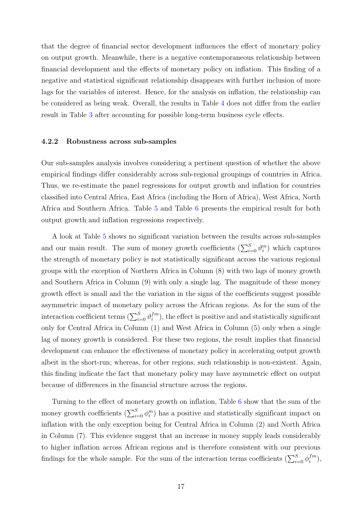that the degree of financial sector development influences the effect of monetary policy on output growth. Meanwhile, there is a negative contemporaneous relationship between financial development and the effects of monetary policy on inflation. This finding of a negative and statistical significant relationship disappears with further inclusion of more lags for the variables of interest. Hence, for the analysis on inflation, the relationship can be considered as being weak. Overall, the results in Table 4 does not differ from the earlier result in Table 3 after accounting for possible long-term business cycle effects.

#### 4.2.2 Robustness across sub-samples

Our sub-samples analysis involves considering a pertinent question of whether the above empirical findings differ considerably across sub-regional groupings of countries in Africa. Thus, we re-estimate the panel regressions for output growth and inflation for countries classified into Central Africa, East Africa (including the Horn of Africa), West Africa, North Africa and Southern Africa. Table 5 and Table 6 presents the empirical result for both output growth and inflation regressions respectively.

A look at Table 5 shows no significant variation between the results across sub-samples and our main result. The sum of money growth coefficients  $(\sum_{i=0}^{S} \vartheta_i^m)$  which captures the strength of monetary policy is not statistically significant across the various regional groups with the exception of Northern Africa in Column (8) with two lags of money growth and Southern Africa in Column (9) with only a single lag. The magnitude of these money growth effect is small and the the variation in the signs of the coefficients suggest possible asymmetric impact of monetary policy across the African regions. As for the sum of the interaction coefficient terms  $(\sum_{i=0}^{S} \vartheta_i^{fm})$  $i^{m}$ , the effect is positive and and statistically significant only for Central Africa in Column (1) and West Africa in Column (5) only when a single lag of money growth is considered. For these two regions, the result implies that financial development can enhance the effectiveness of monetary policy in accelerating output growth albeit in the short-run; whereas, for other regions, such relationship is non-existent. Again, this finding indicate the fact that monetary policy may have asymmetric effect on output because of differences in the financial structure across the regions.

Turning to the effect of monetary growth on inflation, Table 6 show that the sum of the money growth coefficients  $(\sum_{i=0}^{S} \phi_i^m)$  has a positive and statistically significant impact on inflation with the only exception being for Central Africa in Column (2) and North Africa in Column (7). This evidence suggest that an increase in money supply leads considerably to higher inflation across African regions and is therefore consistent with our previous findings for the whole sample. For the sum of the interaction terms coefficients  $(\sum_{i=0}^{S} \phi_i^{fm})$  $\binom{J^m}{i},$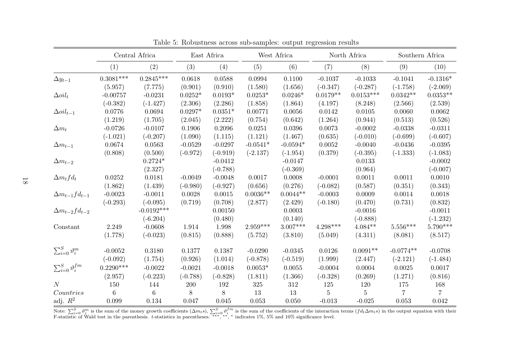|                                   |                  | Central Africa | East Africa |            |            | West Africa |                        | North Africa | Southern Africa        |            |
|-----------------------------------|------------------|----------------|-------------|------------|------------|-------------|------------------------|--------------|------------------------|------------|
|                                   | (1)              | (2)            | (3)         | (4)        | (5)        | (6)         | (7)                    | (8)          | (9)                    | (10)       |
| $\Delta y_{t-1}$                  | $0.3081^{***}\;$ | $0.2845***$    | 0.0618      | 0.0588     | 0.0994     | 0.1100      | $-0.1037$              | $-0.1033$    | $-0.1041$              | $-0.1316*$ |
|                                   | (5.957)          | (7.775)        | (0.901)     | (0.910)    | (1.580)    | (1.656)     | $(-0.347)$             | $(-0.287)$   | $(-1.758)$             | $(-2.069)$ |
| $\Delta oil_t$                    | $-0.00757$       | $-0.0231$      | $0.0252*$   | $0.0193*$  | $0.0253*$  | $0.0246*$   | $0.0179**$             | $0.0153***$  | $0.0342**$             | $0.0353**$ |
|                                   | $(-0.382)$       | $(-1.427)$     | (2.306)     | (2.286)    | (1.858)    | (1.864)     | (4.197)                | (8.248)      | (2.566)                | (2.539)    |
| $\Delta oil_{t-1}$                | 0.0776           | 0.0694         | $0.0297*$   | $0.0351*$  | 0.00771    | 0.0056      | 0.0142                 | 0.0105       | 0.0060                 | 0.0062     |
|                                   | (1.219)          | (1.705)        | (2.045)     | (2.222)    | (0.754)    | (0.642)     | (1.264)                | (0.944)      | (0.513)                | (0.526)    |
| $\Delta m_t$                      | $-0.0726$        | $-0.0107$      | 0.1906      | 0.2096     | 0.0251     | 0.0396      | 0.0073                 | $-0.0002$    | $-0.0338$              | $-0.0311$  |
|                                   | $(-1.021)$       | $(-0.207)$     | (1.090)     | (1.115)    | (1.121)    | (1.467)     | (0.635)                | $(-0.010)$   | $(-0.699)$             | $(-0.607)$ |
| $\Delta m_{t-1}$                  | 0.0674           | 0.0563         | $-0.0529$   | $-0.0297$  | $-0.0541*$ | $-0.0594*$  | 0.0052                 | $-0.0040$    | $-0.0436$              | $-0.0395$  |
|                                   | (0.808)          | (0.500)        | $(-0.972)$  | $(-0.919)$ | $(-2.137)$ | $(-1.954)$  | (0.379)                | $(-0.395)$   | $(-1.333)$             | $(-1.083)$ |
| $\Delta m_{t-2}$                  |                  | $0.2724*$      |             | $-0.0412$  |            | $-0.0147$   |                        | 0.0133       |                        | $-0.0002$  |
|                                   |                  | (2.327)        |             | $(-0.788)$ |            | $(-0.369)$  |                        | (0.964)      |                        | $(-0.007)$ |
| $\Delta m_t f d_t$                | 0.0252           | 0.0181         | $-0.0049$   | $-0.0048$  | 0.0017     | 0.0008      | $-0.0001$              | 0.0011       | 0.0011                 | 0.0010     |
|                                   | (1.862)          | (1.439)        | $(-0.980)$  | $(-0.927)$ | (0.656)    | (0.276)     | $(-0.082)$             | (0.587)      | (0.351)                | (0.343)    |
| $\Delta m_{t-1} f d_{t-1}$        | $-0.0023$        | $-0.0011$      | 0.0028      | 0.0015     | $0.0036**$ | $0.0044**$  | $-0.0003$              | 0.0009       | 0.0014                 | 0.0018     |
|                                   | $(-0.293)$       | $(-0.095)$     | (0.719)     | (0.708)    | (2.877)    | (2.429)     | $(-0.180)$             | (0.470)      | (0.731)                | (0.832)    |
| $\Delta m_{t-2} f d_{t-2}$        |                  | $-0.0192***$   |             | 0.00150    |            | 0.0003      |                        | $-0.0016$    |                        | $-0.0011$  |
|                                   |                  | $(-6.204)$     |             | (0.480)    |            | (0.140)     |                        | $(-0.888)$   |                        | $(-1.232)$ |
| Constant                          | 2.249            | $-0.0608$      | 1.914       | 1.998      | $2.959***$ | $3.007***$  | $4.298^{\ast\ast\ast}$ | $4.084**$    | $5.556^{\ast\ast\ast}$ | $5.790***$ |
|                                   | (1.778)          | $(-0.023)$     | (0.815)     | (0.888)    | (5.752)    | (3.810)     | (5.049)                | (4.311)      | (8.081)                | (8.517)    |
| $\sum_{i=0}^S \vartheta_i^m$      | $-0.0052$        | 0.3180         | 0.1377      | 0.1387     | $-0.0290$  | $-0.0345$   | 0.0126                 | $0.0091**$   | $-0.0774**$            | $-0.0708$  |
|                                   | $(-0.092)$       | (1.754)        | (0.926)     | (1.014)    | $(-0.878)$ | $(-0.519)$  | (1.999)                | (2.447)      | $(-2.121)$             | $(-1.484)$ |
| $\sum_{i=0}^{S} \vartheta_i^{fm}$ | $0.2290***$      | $-0.0022$      | $-0.0021$   | $-0.0018$  | $0.0053*$  | 0.0055      | $-0.0004$              | 0.0004       | 0.0025                 | 0.0017     |
|                                   | (2.957)          | $(-0.223)$     | $(-0.788)$  | $(-0.828)$ | (1.811)    | (1.366)     | $(-0.328)$             | (0.269)      | (1.271)                | (0.816)    |
| N                                 | 150              | 144            | 200         | 192        | 325        | 312         | 125                    | 120          | 175                    | 168        |
| Countries                         | $6\,$            | 6              | $8\,$       | $8\,$      | 13         | $13\,$      | $\overline{5}$         | $5^{\circ}$  | 7                      | 7          |
| adj. $R^2$                        | 0.099            | 0.134          | 0.047       | 0.045      | 0.053      | 0.050       | $-0.013$               | $-0.025$     | 0.053                  | 0.042      |

Table 5: Robustness across sub-samples: output regression results

Note:  $\sum_{i=0}^{S} \vartheta$ <sup>m</sup> is the sum of the money growth coefficients  $(\Delta m_t s)$ ,  $\sum_{i=0}^{S} \vartheta_i^{f_m}$  is the sum of the coefficients of the interaction terms  $(fd_t\Delta m_t s)$  in the output equation with their interaction terms is the interaction term F-statistic of Wald test in the parenthesis. <sup>t</sup>-statistics in parentheses. ∗∗∗, ∗∗, ∗ indicates 1%, 5% and 10% significance level.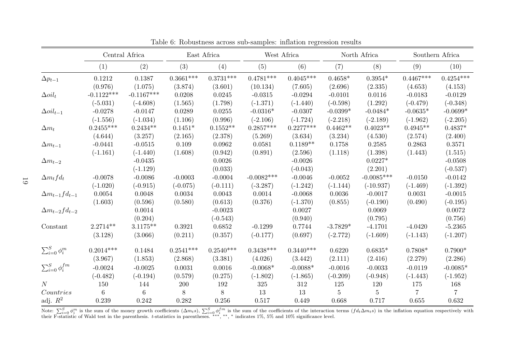|                               | Central Africa   |              | East Africa      |                  | West Africa  |             | North Africa   |              | Southern Africa |             |
|-------------------------------|------------------|--------------|------------------|------------------|--------------|-------------|----------------|--------------|-----------------|-------------|
|                               | (1)              | (2)          | (3)              | (4)              | (5)          | (6)         | (7)            | (8)          | (9)             | (10)        |
| $\Delta p_{t-1}$              | 0.1212           | 0.1387       | $0.3661^{***}\;$ | $0.3731^{***}\;$ | $0.4781***$  | $0.4045***$ | $0.4658*$      | $0.3954*$    | $0.4467***$     | $0.4254***$ |
|                               | (0.976)          | (1.075)      | (3.874)          | (3.601)          | (10.134)     | (7.605)     | (2.696)        | (2.335)      | (4.653)         | (4.153)     |
| $\Delta oil_t$                | $-0.1122***$     | $-0.1167***$ | 0.0208           | 0.0245           | $-0.0315$    | $-0.0294$   | $-0.0101$      | 0.0116       | $-0.0183$       | $-0.0129$   |
|                               | $(-5.031)$       | $(-4.608)$   | (1.565)          | (1.798)          | $(-1.371)$   | $(-1.440)$  | $(-0.598)$     | (1.292)      | $(-0.479)$      | $(-0.348)$  |
| $\Delta oil_{t-1}$            | $-0.0278$        | $-0.0147$    | 0.0289           | 0.0255           | $-0.0316*$   | $-0.0307$   | $-0.0399*$     | $-0.0484*$   | $-0.0635*$      | $-0.0699*$  |
|                               | $(-1.556)$       | $(-1.034)$   | (1.106)          | (0.996)          | $(-2.106)$   | $(-1.724)$  | $(-2.218)$     | $(-2.189)$   | $(-1.962)$      | $(-2.205)$  |
| $\Delta m_t$                  | $0.2455^{***}\,$ | $0.2434**$   | $0.1451*$        | $0.1552**$       | $0.2857***$  | $0.2277***$ | $0.4462**$     | $0.4023**$   | $0.4945**$      | $0.4837*$   |
|                               | (4.644)          | (3.257)      | (2.165)          | (2.378)          | (5.269)      | (3.634)     | (3.234)        | (4.530)      | (2.574)         | (2.400)     |
| $\Delta m_{t-1}$              | $-0.0441$        | $-0.0515$    | 0.109            | 0.0962           | 0.0581       | $0.1189**$  | 0.1758         | 0.2585       | 0.2863          | 0.3571      |
|                               | $(-1.161)$       | $(-1.440)$   | (1.608)          | (0.942)          | (0.891)      | (2.596)     | (1.118)        | (1.398)      | (1.443)         | (1.515)     |
| $\Delta m_{t-2}$              |                  | $-0.0435$    |                  | 0.0026           |              | $-0.0026$   |                | $0.0227*$    |                 | $-0.0508$   |
|                               |                  | $(-1.129)$   |                  | (0.033)          |              | $(-0.043)$  |                | (2.201)      |                 | $(-0.537)$  |
| $\Delta m_t f d_t$            | $-0.0078$        | $-0.0086$    | $-0.0003$        | $-0.0004$        | $-0.0082***$ | $-0.0046$   | $-0.0052$      | $-0.0085***$ | $-0.0150$       | $-0.0142$   |
|                               | $(-1.020)$       | $(-0.915)$   | $(-0.075)$       | $(-0.111)$       | $(-3.287)$   | $(-1.242)$  | $(-1.144)$     | $(-10.937)$  | $(-1.469)$      | $(-1.392)$  |
| $\Delta m_{t-1} f d_{t-1}$    | 0.0054           | 0.0048       | 0.0034           | 0.0043           | 0.0014       | $-0.0068$   | 0.0036         | $-0.0017$    | 0.0031          | $-0.0015$   |
|                               | (1.603)          | (0.596)      | (0.580)          | (0.613)          | (0.376)      | $(-1.370)$  | (0.855)        | $(-0.190)$   | (0.490)         | $(-0.195)$  |
| $\Delta m_{t-2} f d_{t-2}$    |                  | 0.0014       |                  | $-0.0023$        |              | 0.0027      |                | 0.0069       |                 | 0.0072      |
|                               |                  | (0.204)      |                  | $(-0.543)$       |              | (0.940)     |                | (0.795)      |                 | (0.756)     |
| Constant                      | $2.2714**$       | $3.1175**$   | 0.3921           | 0.6852           | $-0.1299$    | 0.7744      | $-3.7829*$     | $-4.1701$    | $-4.0420$       | $-5.2365$   |
|                               | (3.128)          | (3.066)      | (0.211)          | (0.357)          | $(-0.177)$   | (0.697)     | $(-2.772)$     | $(-1.609)$   | $(-1.143)$      | $(-1.207)$  |
| $\sum_{i=0}^{S} \phi_i^m$     | $0.2014***$      | 0.1484       | $0.2541***$      | $0.2540***$      | $0.3438***$  | $0.3440***$ | 0.6220         | $0.6835*$    | $0.7808*$       | $0.7900*$   |
|                               | (3.967)          | (1.853)      | (2.868)          | (3.381)          | (4.026)      | (3.442)     | (2.111)        | (2.416)      | (2.279)         | (2.286)     |
| $\sum_{i=0}^{S}\phi_{i}^{fm}$ | $-0.0024$        | $-0.0025$    | 0.0031           | 0.0016           | $-0.0068*$   | $-0.0088*$  | $-0.0016$      | $-0.0033$    | $-0.0119$       | $-0.0085*$  |
|                               | $(-0.482)$       | $(-0.194)$   | (0.579)          | (0.275)          | $(-1.802)$   | $(-1.865)$  | $(-0.209)$     | $(-0.948)$   | $(-1.443)$      | $(-1.952)$  |
| N                             | 150              | 144          | 200              | 192              | 325          | $312\,$     | 125            | 120          | 175             | 168         |
| Countries                     | 6                | 6            | 8                | $8\,$            | 13           | 13          | $\overline{5}$ | $\bf 5$      |                 |             |
| adj. $R^2$                    | 0.239            | 0.242        | 0.282            | 0.256            | 0.517        | 0.449       | 0.668          | 0.717        | 0.655           | 0.632       |

Table 6: Robustness across sub-samples: inflation regression results

Note:  $\sum_{i=0}^{S} \phi_i^m$  is the sum of the money growth coefficients  $(\Delta m_t s)$ ,  $\sum_{i=0}^{S} \phi_i^{fm}$  is the sum of the coefficients of the interaction terms  $(fd_t\Delta m_ts)$  in the inflation equation respectively with their F-statis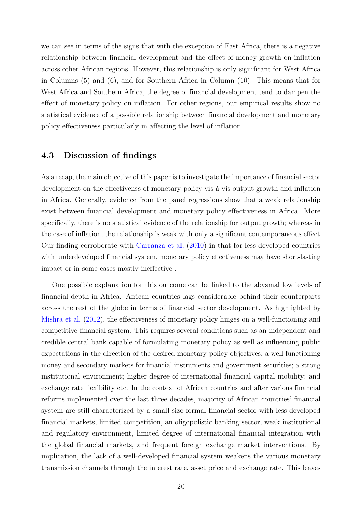we can see in terms of the signs that with the exception of East Africa, there is a negative relationship between financial development and the effect of money growth on inflation across other African regions. However, this relationship is only significant for West Africa in Columns (5) and (6), and for Southern Africa in Column (10). This means that for West Africa and Southern Africa, the degree of financial development tend to dampen the effect of monetary policy on inflation. For other regions, our empirical results show no statistical evidence of a possible relationship between financial development and monetary policy effectiveness particularly in affecting the level of inflation.

#### 4.3 Discussion of findings

As a recap, the main objective of this paper is to investigate the importance of financial sector development on the effectivenss of monetary policy vis- $\acute{a}$ -vis output growth and inflation in Africa. Generally, evidence from the panel regressions show that a weak relationship exist between financial development and monetary policy effectiveness in Africa. More specifically, there is no statistical evidence of the relationship for output growth; whereas in the case of inflation, the relationship is weak with only a significant contemporaneous effect. Our finding corroborate with Carranza et al. (2010) in that for less developed countries with underdeveloped financial system, monetary policy effectiveness may have short-lasting impact or in some cases mostly ineffective .

One possible explanation for this outcome can be linked to the abysmal low levels of financial depth in Africa. African countries lags considerable behind their counterparts across the rest of the globe in terms of financial sector development. As highlighted by Mishra et al. (2012), the effectiveness of monetary policy hinges on a well-functioning and competitive financial system. This requires several conditions such as an independent and credible central bank capable of formulating monetary policy as well as influencing public expectations in the direction of the desired monetary policy objectives; a well-functioning money and secondary markets for financial instruments and government securities; a strong institutional environment; higher degree of international financial capital mobility; and exchange rate flexibility etc. In the context of African countries and after various financial reforms implemented over the last three decades, majority of African countries' financial system are still characterized by a small size formal financial sector with less-developed financial markets, limited competition, an oligopolistic banking sector, weak institutional and regulatory environment, limited degree of international financial integration with the global financial markets, and frequent foreign exchange market interventions. By implication, the lack of a well-developed financial system weakens the various monetary transmission channels through the interest rate, asset price and exchange rate. This leaves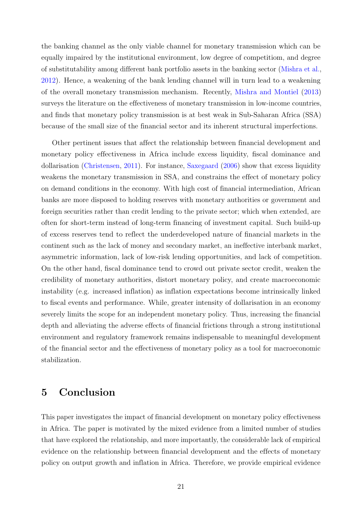the banking channel as the only viable channel for monetary transmission which can be equally impaired by the institutional environment, low degree of competitiom, and degree of substitutability among different bank portfolio assets in the banking sector (Mishra et al., 2012). Hence, a weakening of the bank lending channel will in turn lead to a weakening of the overall monetary transmission mechanism. Recently, Mishra and Montiel (2013) surveys the literature on the effectiveness of monetary transmission in low-income countries, and finds that monetary policy transmission is at best weak in Sub-Saharan Africa (SSA) because of the small size of the financial sector and its inherent structural imperfections.

Other pertinent issues that affect the relationship between financial development and monetary policy effectiveness in Africa include excess liquidity, fiscal dominance and dollarisation (Christensen, 2011). For instance, Saxegaard (2006) show that excess liquidity weakens the monetary transmission in SSA, and constrains the effect of monetary policy on demand conditions in the economy. With high cost of financial intermediation, African banks are more disposed to holding reserves with monetary authorities or government and foreign securities rather than credit lending to the private sector; which when extended, are often for short-term instead of long-term financing of investment capital. Such build-up of excess reserves tend to reflect the underdeveloped nature of financial markets in the continent such as the lack of money and secondary market, an ineffective interbank market, asymmetric information, lack of low-risk lending opportunities, and lack of competition. On the other hand, fiscal dominance tend to crowd out private sector credit, weaken the credibility of monetary authorities, distort monetary policy, and create macroeconomic instability (e.g. increased inflation) as inflation expectations become intrinsically linked to fiscal events and performance. While, greater intensity of dollarisation in an economy severely limits the scope for an independent monetary policy. Thus, increasing the financial depth and alleviating the adverse effects of financial frictions through a strong institutional environment and regulatory framework remains indispensable to meaningful development of the financial sector and the effectiveness of monetary policy as a tool for macroeconomic stabilization.

# 5 Conclusion

This paper investigates the impact of financial development on monetary policy effectiveness in Africa. The paper is motivated by the mixed evidence from a limited number of studies that have explored the relationship, and more importantly, the considerable lack of empirical evidence on the relationship between financial development and the effects of monetary policy on output growth and inflation in Africa. Therefore, we provide empirical evidence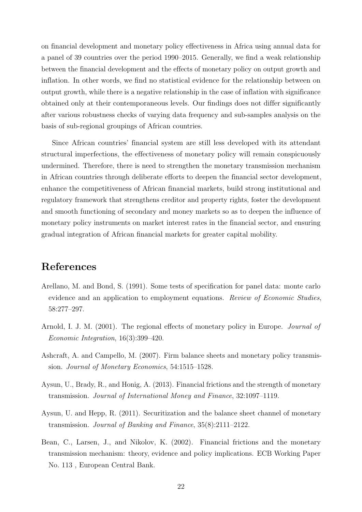on financial development and monetary policy effectiveness in Africa using annual data for a panel of 39 countries over the period 1990–2015. Generally, we find a weak relationship between the financial development and the effects of monetary policy on output growth and inflation. In other words, we find no statistical evidence for the relationship between on output growth, while there is a negative relationship in the case of inflation with significance obtained only at their contemporaneous levels. Our findings does not differ significantly after various robustness checks of varying data frequency and sub-samples analysis on the basis of sub-regional groupings of African countries.

Since African countries' financial system are still less developed with its attendant structural imperfections, the effectiveness of monetary policy will remain conspicuously undermined. Therefore, there is need to strengthen the monetary transmission mechanism in African countries through deliberate efforts to deepen the financial sector development, enhance the competitiveness of African financial markets, build strong institutional and regulatory framework that strengthens creditor and property rights, foster the development and smooth functioning of secondary and money markets so as to deepen the influence of monetary policy instruments on market interest rates in the financial sector, and ensuring gradual integration of African financial markets for greater capital mobility.

### References

- Arellano, M. and Bond, S. (1991). Some tests of specification for panel data: monte carlo evidence and an application to employment equations. Review of Economic Studies, 58:277–297.
- Arnold, I. J. M. (2001). The regional effects of monetary policy in Europe. Journal of Economic Integration, 16(3):399–420.
- Ashcraft, A. and Campello, M. (2007). Firm balance sheets and monetary policy transmission. Journal of Monetary Economics, 54:1515–1528.
- Aysun, U., Brady, R., and Honig, A. (2013). Financial frictions and the strength of monetary transmission. Journal of International Money and Finance, 32:1097–1119.
- Aysun, U. and Hepp, R. (2011). Securitization and the balance sheet channel of monetary transmission. Journal of Banking and Finance, 35(8):2111–2122.
- Bean, C., Larsen, J., and Nikolov, K. (2002). Financial frictions and the monetary transmission mechanism: theory, evidence and policy implications. ECB Working Paper No. 113 , European Central Bank.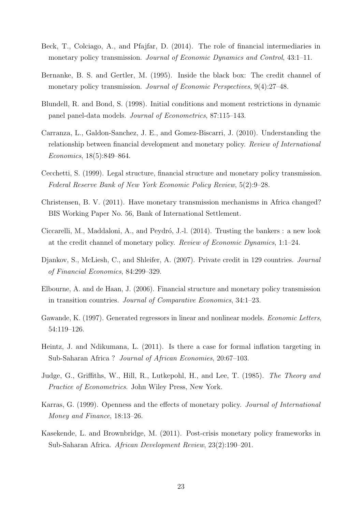- Beck, T., Colciago, A., and Pfajfar, D. (2014). The role of financial intermediaries in monetary policy transmission. Journal of Economic Dynamics and Control, 43:1–11.
- Bernanke, B. S. and Gertler, M. (1995). Inside the black box: The credit channel of monetary policy transmission. *Journal of Economic Perspectives*, 9(4):27–48.
- Blundell, R. and Bond, S. (1998). Initial conditions and moment restrictions in dynamic panel panel-data models. Journal of Econometrics, 87:115–143.
- Carranza, L., Galdon-Sanchez, J. E., and Gomez-Biscarri, J. (2010). Understanding the relationship between financial development and monetary policy. Review of International Economics, 18(5):849–864.
- Cecchetti, S. (1999). Legal structure, financial structure and monetary policy transmission. Federal Reserve Bank of New York Economic Policy Review, 5(2):9–28.
- Christensen, B. V. (2011). Have monetary transmission mechanisms in Africa changed? BIS Working Paper No. 56, Bank of International Settlement.
- Ciccarelli, M., Maddaloni, A., and Peydró, J.-l. (2014). Trusting the bankers : a new look at the credit channel of monetary policy. Review of Economic Dynamics, 1:1–24.
- Djankov, S., McLiesh, C., and Shleifer, A. (2007). Private credit in 129 countries. Journal of Financial Economics, 84:299–329.
- Elbourne, A. and de Haan, J. (2006). Financial structure and monetary policy transmission in transition countries. Journal of Comparative Economics, 34:1–23.
- Gawande, K. (1997). Generated regressors in linear and nonlinear models. Economic Letters, 54:119–126.
- Heintz, J. and Ndikumana, L. (2011). Is there a case for formal inflation targeting in Sub-Saharan Africa ? Journal of African Economies, 20:67–103.
- Judge, G., Griffiths, W., Hill, R., Lutkepohl, H., and Lee, T. (1985). The Theory and Practice of Econometrics. John Wiley Press, New York.
- Karras, G. (1999). Openness and the effects of monetary policy. Journal of International Money and Finance, 18:13–26.
- Kasekende, L. and Brownbridge, M. (2011). Post-crisis monetary policy frameworks in Sub-Saharan Africa. African Development Review, 23(2):190–201.